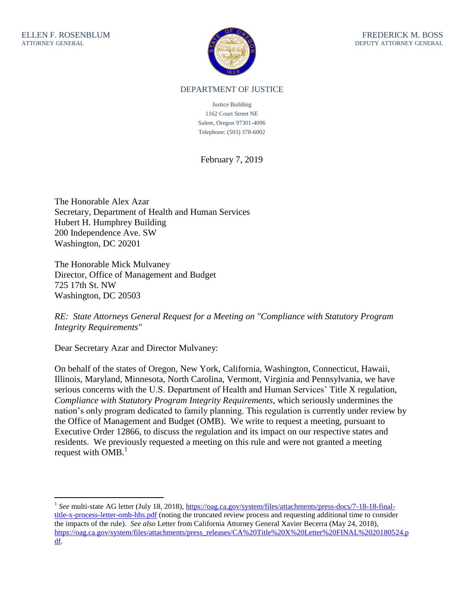$\overline{a}$ 



## DEPARTMENT OF JUSTICE

Justice Building 1162 Court Street NE Salem, Oregon 97301-4096 Telephone: (503) 378-6002

February 7, 2019

The Honorable Alex Azar Secretary, Department of Health and Human Services Hubert H. Humphrey Building 200 Independence Ave. SW Washington, DC 20201

The Honorable Mick Mulvaney Director, Office of Management and Budget 725 17th St. NW Washington, DC 20503

*RE: State Attorneys General Request for a Meeting on "Compliance with Statutory Program Integrity Requirements"* 

Dear Secretary Azar and Director Mulvaney:

On behalf of the states of Oregon, New York, California, Washington, Connecticut, Hawaii, Illinois, Maryland, Minnesota, North Carolina, Vermont, Virginia and Pennsylvania, we have serious concerns with the U.S. Department of Health and Human Services' Title X regulation, *Compliance with Statutory Program Integrity Requirements*, which seriously undermines the nation's only program dedicated to family planning. This regulation is currently under review by the Office of Management and Budget (OMB). We write to request a meeting, pursuant to Executive Order 12866, to discuss the regulation and its impact on our respective states and residents. We previously requested a meeting on this rule and were not granted a meeting request with  $OMB<sup>1</sup>$ 

<sup>&</sup>lt;sup>1</sup> See multi-state AG letter (July 18, 2018), [https://oag.ca.gov/system/files/attachments/press-docs/7-18-18-final](https://oag.ca.gov/system/files/attachments/press-docs/7-18-18-final-title-x-process-letter-omb-hhs.pdf)[title-x-process-letter-omb-hhs.pdf](https://oag.ca.gov/system/files/attachments/press-docs/7-18-18-final-title-x-process-letter-omb-hhs.pdf) (noting the truncated review process and requesting additional time to consider the impacts of the rule). *See also* Letter from California Attorney General Xavier Becerra (May 24, 2018), [https://oag.ca.gov/system/files/attachments/press\\_releases/CA%20Title%20X%20Letter%20FINAL%2020180524.p](https://oag.ca.gov/system/files/attachments/press_releases/CA%20Title%20X%20Letter%20FINAL%2020180524.pdf) [df.](https://oag.ca.gov/system/files/attachments/press_releases/CA%20Title%20X%20Letter%20FINAL%2020180524.pdf)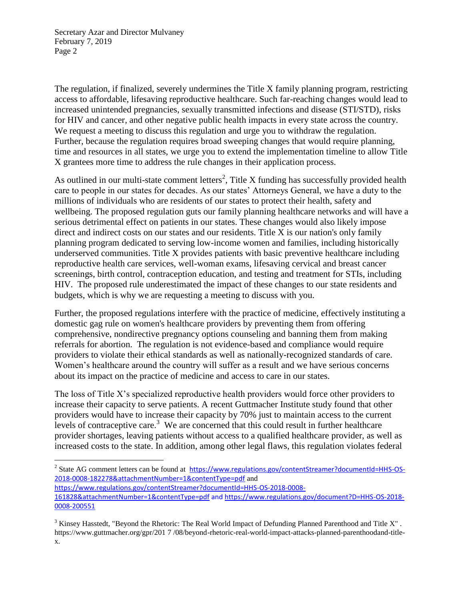$\overline{a}$ 

The regulation, if finalized, severely undermines the Title X family planning program, restricting access to affordable, lifesaving reproductive healthcare. Such far-reaching changes would lead to increased unintended pregnancies, sexually transmitted infections and disease (STI/STD), risks for HIV and cancer, and other negative public health impacts in every state across the country. We request a meeting to discuss this regulation and urge you to withdraw the regulation. Further, because the regulation requires broad sweeping changes that would require planning, time and resources in all states, we urge you to extend the implementation timeline to allow Title X grantees more time to address the rule changes in their application process.

As outlined in our multi-state comment letters<sup>2</sup>, Title X funding has successfully provided health care to people in our states for decades. As our states' Attorneys General, we have a duty to the millions of individuals who are residents of our states to protect their health, safety and wellbeing. The proposed regulation guts our family planning healthcare networks and will have a serious detrimental effect on patients in our states. These changes would also likely impose direct and indirect costs on our states and our residents. Title X is our nation's only family planning program dedicated to serving low-income women and families, including historically underserved communities. Title X provides patients with basic preventive healthcare including reproductive health care services, well-woman exams, lifesaving cervical and breast cancer screenings, birth control, contraception education, and testing and treatment for STIs, including HIV. The proposed rule underestimated the impact of these changes to our state residents and budgets, which is why we are requesting a meeting to discuss with you.

Further, the proposed regulations interfere with the practice of medicine, effectively instituting a domestic gag rule on women's healthcare providers by preventing them from offering comprehensive, nondirective pregnancy options counseling and banning them from making referrals for abortion. The regulation is not evidence-based and compliance would require providers to violate their ethical standards as well as nationally-recognized standards of care. Women's healthcare around the country will suffer as a result and we have serious concerns about its impact on the practice of medicine and access to care in our states.

The loss of Title X's specialized reproductive health providers would force other providers to increase their capacity to serve patients. A recent Guttmacher Institute study found that other providers would have to increase their capacity by 70% just to maintain access to the current levels of contraceptive care.<sup>3</sup> We are concerned that this could result in further healthcare provider shortages, leaving patients without access to a qualified healthcare provider, as well as increased costs to the state. In addition, among other legal flaws, this regulation violates federal

[https://www.regulations.gov/contentStreamer?documentId=HHS-OS-2018-0008-](https://www.regulations.gov/contentStreamer?documentId=HHS-OS-2018-0008-161828&attachmentNumber=1&contentType=pdf) [161828&attachmentNumber=1&contentType=pdf](https://www.regulations.gov/contentStreamer?documentId=HHS-OS-2018-0008-161828&attachmentNumber=1&contentType=pdf) an[d https://www.regulations.gov/document?D=HHS-OS-2018-](https://www.regulations.gov/document?D=HHS-OS-2018-0008-200551) [0008-200551](https://www.regulations.gov/document?D=HHS-OS-2018-0008-200551)

<sup>3</sup> Kinsey Hasstedt, "Beyond the Rhetoric: The Real World Impact of Defunding Planned Parenthood and Title X". https://www.guttmacher.org/gpr/201 7 /08/beyond-rhetoric-real-world-impact-attacks-planned-parenthoodand-titlex.

<sup>&</sup>lt;sup>2</sup> State AG comment letters can be found at [https://www.regulations.gov/contentStreamer?documentId=HHS-OS-](https://www.regulations.gov/contentStreamer?documentId=HHS-OS-2018-0008-182278&attachmentNumber=1&contentType=pdf)[2018-0008-182278&attachmentNumber=1&contentType=pdf](https://www.regulations.gov/contentStreamer?documentId=HHS-OS-2018-0008-182278&attachmentNumber=1&contentType=pdf) and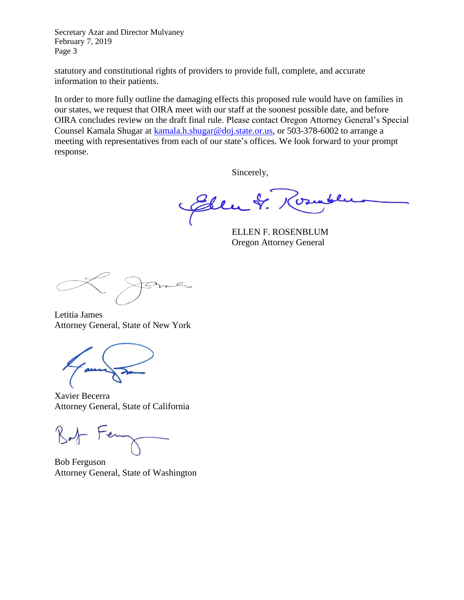statutory and constitutional rights of providers to provide full, complete, and accurate information to their patients.

In order to more fully outline the damaging effects this proposed rule would have on families in our states, we request that OIRA meet with our staff at the soonest possible date, and before OIRA concludes review on the draft final rule. Please contact Oregon Attorney General's Special Counsel Kamala Shugar at [kamala.h.shugar@doj.state.or.us,](mailto:kamala.h.shugar@doj.state.or.us) or 503-378-6002 to arrange a meeting with representatives from each of our state's offices. We look forward to your prompt response.

Sincerely,

Elen &.  $\mathbf{c}$ 

ELLEN F. ROSENBLUM Oregon Attorney General

Letitia James Attorney General, State of New York

Xavier Becerra Attorney General, State of California

Bob Ferguson Attorney General, State of Washington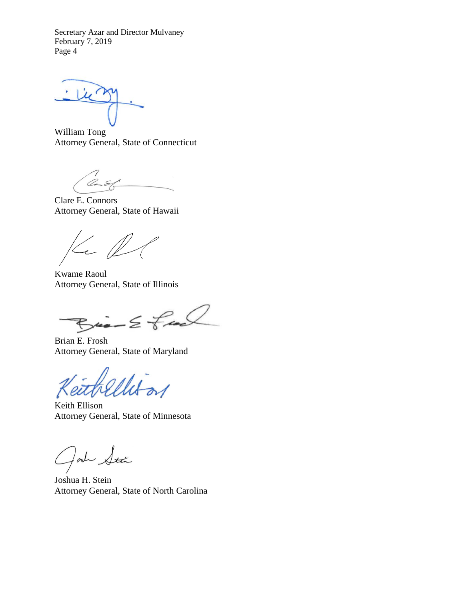Lie

William Tong Attorney General, State of Connecticut

Con E

Clare E. Connors Attorney General, State of Hawaii

 $\ll \ell$ 

Kwame Raoul Attorney General, State of Illinois

 $Bia - E$  fac

Brian E. Frosh Attorney General, State of Maryland

Keith Ellison Attorney General, State of Minnesota

Jahr Stán

Joshua H. Stein Attorney General, State of North Carolina